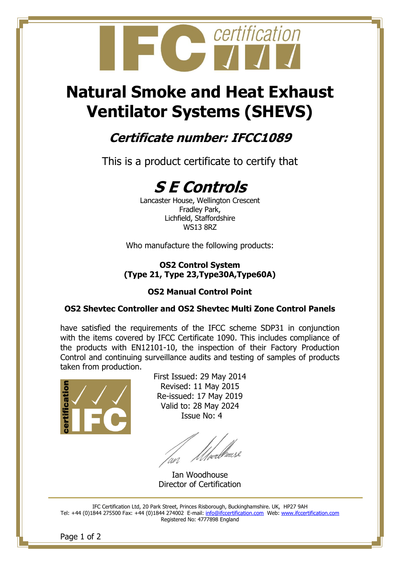

# **Natural Smoke and Heat Exhaust Ventilator Systems (SHEVS)**

### **Certificate number: IFCC1089**

This is a product certificate to certify that



Lancaster House, Wellington Crescent Fradley Park, Lichfield, Staffordshire WS13 8RZ

Who manufacture the following products:

#### **OS2 Control System (Type 21, Type 23,Type30A,Type60A)**

#### **OS2 Manual Control Point**

#### **OS2 Shevtec Controller and OS2 Shevtec Multi Zone Control Panels**

have satisfied the requirements of the IFCC scheme SDP31 in conjunction with the items covered by IFCC Certificate 1090. This includes compliance of the products with EN12101-10, the inspection of their Factory Production Control and continuing surveillance audits and testing of samples of products taken from production.



First Issued: 29 May 2014 Revised: 11 May 2015 Re-issued: 17 May 2019 Valid to: 28 May 2024 Issue No: 4

*Ulve*dhouse

Ian Woodhouse Director of Certification

IFC Certification Ltd, 20 Park Street, Princes Risborough, Buckinghamshire. UK, HP27 9AH Tel: +44 (0)1844 275500 Fax: +44 (0)1844 274002 E-mail: [info@ifccertification.com](mailto:info@ifccertification.com) Web: [www.ifccertification.com](http://www.ifccertification.com/) Registered No: 4777898 England

Page 1 of 2